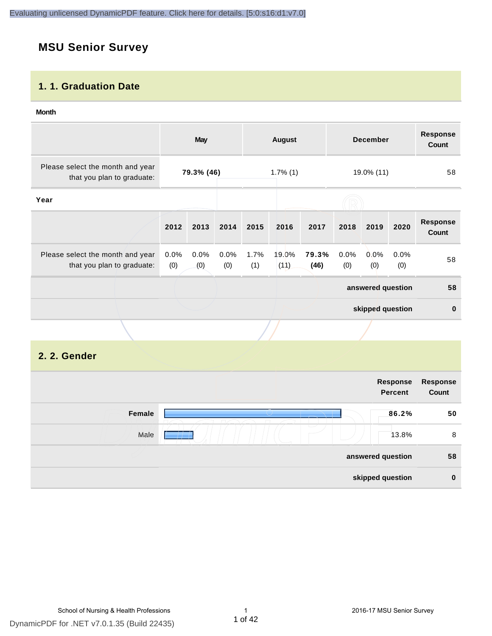# **MSU Senior Survey**

### **1. 1. Graduation Date**

#### **Month**

|                                                                |                | <b>May</b>  |                |             | <b>August</b> |               |             | <b>December</b>   |             | <b>Response</b><br>Count |
|----------------------------------------------------------------|----------------|-------------|----------------|-------------|---------------|---------------|-------------|-------------------|-------------|--------------------------|
| Please select the month and year<br>that you plan to graduate: |                | 79.3% (46)  |                |             | $1.7\%$ (1)   |               |             | 19.0% (11)        |             | 58                       |
| Year                                                           |                |             |                |             |               |               |             |                   |             |                          |
|                                                                | 2012           | 2013        | 2014           | 2015        | 2016          | 2017          | 2018        | 2019              | 2020        | <b>Response</b><br>Count |
| Please select the month and year<br>that you plan to graduate: | $0.0\%$<br>(0) | 0.0%<br>(0) | $0.0\%$<br>(0) | 1.7%<br>(1) | 19.0%<br>(11) | 79.3%<br>(46) | 0.0%<br>(0) | 0.0%<br>(0)       | 0.0%<br>(0) | 58                       |
|                                                                |                |             |                |             |               |               |             | answered question |             | 58                       |
|                                                                |                |             |                |             |               |               |             | skipped question  |             | $\bf{0}$                 |
|                                                                |                |             |                |             |               |               |             |                   |             |                          |

# **2. 2. Gender**

| Response<br>Count | Response<br><b>Percent</b> |        |
|-------------------|----------------------------|--------|
| 50                | 86.2%                      | Female |
| 8                 | 13.8%                      | Male   |
| 58                | answered question          |        |
| $\bf{0}$          | skipped question           |        |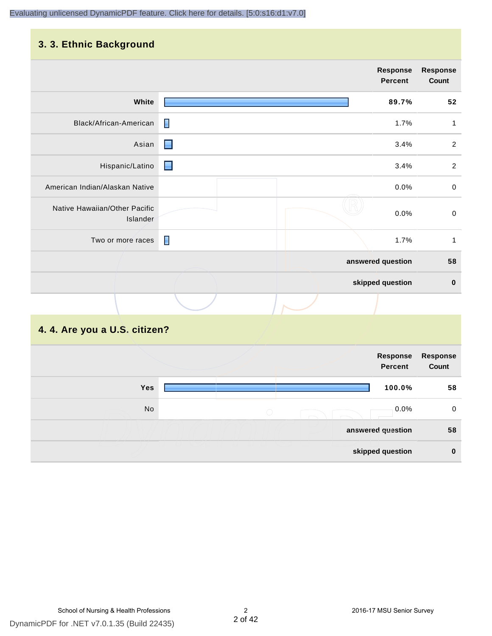# **3. 3. Ethnic Background**

|                                           |                | <b>Response</b><br><b>Percent</b> | <b>Response</b><br>Count |
|-------------------------------------------|----------------|-----------------------------------|--------------------------|
| White                                     |                | 89.7%                             | 52                       |
| Black/African-American                    | П              | 1.7%                              | 1                        |
| Asian                                     | $\blacksquare$ | 3.4%                              | $\overline{2}$           |
| Hispanic/Latino                           | <b>Reserve</b> | 3.4%                              | $\overline{2}$           |
| American Indian/Alaskan Native            |                | 0.0%                              | $\,0\,$                  |
| Native Hawaiian/Other Pacific<br>Islander |                | 0.0%                              | $\pmb{0}$                |
| Two or more races                         | П              | 1.7%                              | $\mathbf{1}$             |
|                                           |                | answered question                 | 58                       |
|                                           |                | skipped question                  | $\pmb{0}$                |
|                                           |                |                                   |                          |

# **4. 4. Are you a U.S. citizen?**

|            | Response<br><b>Percent</b> | Response<br>Count |
|------------|----------------------------|-------------------|
| <b>Yes</b> | 100.0%                     | 58                |
| No         | $0.0\%$<br>$\bigcirc$      | 0                 |
|            | answered question          | 58                |
|            | skipped question           | $\mathbf 0$       |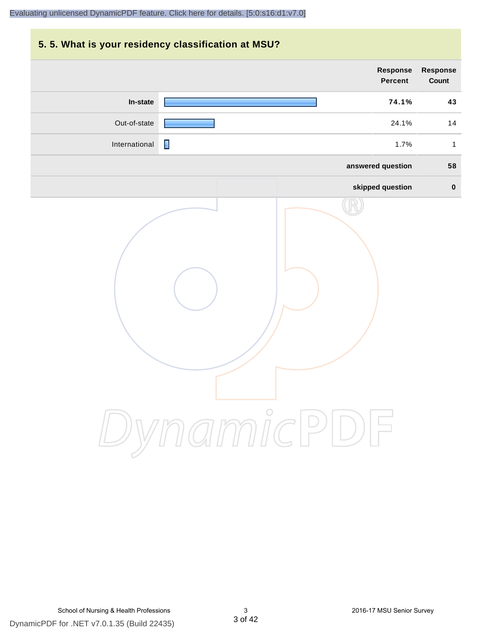# **5. 5. What is your residency classification at MSU? Response Response Percent Count In-state 74.1% 43** Out-of-state 24.1% 14 International **1.7%** 1 **answered question 58 skipped question 0** DynamicPDF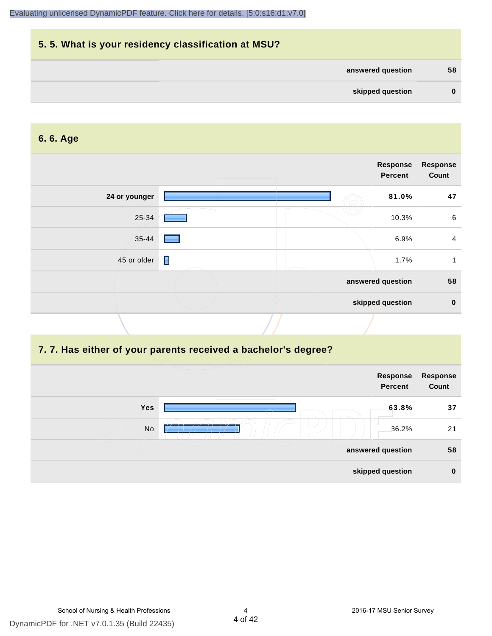| 5.5. What is your residency classification at MSU? |          |
|----------------------------------------------------|----------|
| answered question                                  | 58       |
| skipped question                                   | $\bf{0}$ |

#### **6. 6. Age**

| Response<br><b>Percent</b> | <b>Response</b><br>Count |
|----------------------------|--------------------------|
| 81.0%                      | 47                       |
| 10.3%                      | 6                        |
| 6.9%                       | $\overline{4}$           |
| 1.7%                       |                          |
| answered question          | 58                       |
| skipped question           | $\mathbf 0$              |
|                            |                          |

#### **7. 7. Has either of your parents received a bachelor's degree?**

|     | Response<br><b>Percent</b> | Response<br>Count |
|-----|----------------------------|-------------------|
| Yes | 63.8%                      | 37                |
| No  | 36.2%                      | 21                |
|     | answered question          | 58                |
|     | skipped question           | $\bf{0}$          |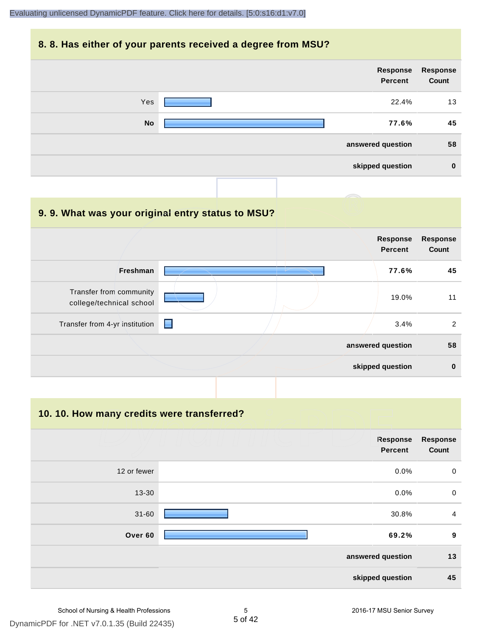#### **8. 8. Has either of your parents received a degree from MSU?**

| Response<br>Response<br>Count<br>Percent |           |
|------------------------------------------|-----------|
| 22.4%<br>13                              | Yes       |
| 77.6%<br>45                              | <b>No</b> |
| 58<br>answered question                  |           |
| skipped question<br>$\bf{0}$             |           |

#### **9. 9. What was your original entry status to MSU?**

|                                                     |   |  | <b>Response</b><br><b>Percent</b> | <b>Response</b><br>Count |
|-----------------------------------------------------|---|--|-----------------------------------|--------------------------|
| Freshman                                            |   |  | 77.6%                             | 45                       |
| Transfer from community<br>college/technical school |   |  | 19.0%                             | 11                       |
| Transfer from 4-yr institution                      | е |  | 3.4%                              | 2                        |
|                                                     |   |  | answered question                 | 58                       |
|                                                     |   |  | skipped question                  | $\bf{0}$                 |

#### **10. 10. How many credits were transferred?**

|             | Response<br>Percent | <b>Response</b><br>Count |
|-------------|---------------------|--------------------------|
| 12 or fewer | 0.0%                | $\mathbf 0$              |
| $13 - 30$   | 0.0%                | $\mathbf 0$              |
| $31 - 60$   | 30.8%               | $\overline{a}$           |
| Over 60     | 69.2%               | $\boldsymbol{9}$         |
|             | answered question   | 13                       |
|             | skipped question    | 45                       |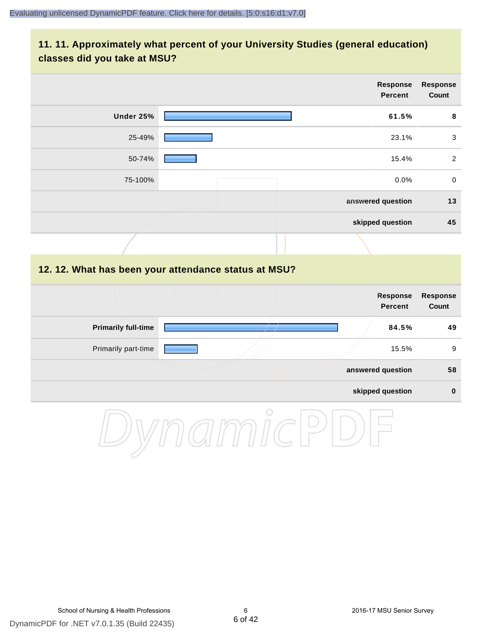# **11. 11. Approximately what percent of your University Studies (general education) classes did you take at MSU?**

|                            | Response<br><b>Percent</b>                           | <b>Response</b><br>Count |
|----------------------------|------------------------------------------------------|--------------------------|
| <b>Under 25%</b>           | 61.5%                                                | 8                        |
| 25-49%                     | 23.1%                                                | $\mathbf{3}$             |
| 50-74%                     | 15.4%                                                | $\sqrt{2}$               |
| 75-100%                    | 0.0%                                                 | $\pmb{0}$                |
|                            | answered question                                    | 13                       |
|                            | skipped question                                     | 45                       |
|                            |                                                      |                          |
|                            | 12. 12. What has been your attendance status at MSU? |                          |
|                            | <b>Response</b><br><b>Percent</b>                    | <b>Response</b><br>Count |
| <b>Primarily full-time</b> | 84.5%                                                | 49                       |
| Primarily part-time        | 15.5%                                                | $\boldsymbol{9}$         |
|                            | answered question                                    | 58                       |
|                            | skipped question                                     | $\pmb{0}$                |
|                            | O                                                    |                          |

DynamicPDF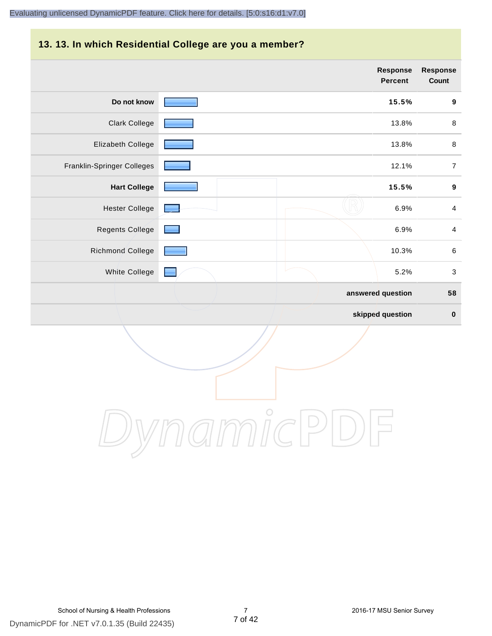# **13. 13. In which Residential College are you a member?**

|                            |  | Response<br>Percent | <b>Response</b><br>Count  |
|----------------------------|--|---------------------|---------------------------|
| Do not know                |  | 15.5%               | $\boldsymbol{9}$          |
| <b>Clark College</b>       |  | 13.8%               | $\,8\,$                   |
| Elizabeth College          |  | 13.8%               | $\,8\,$                   |
| Franklin-Springer Colleges |  | 12.1%               | $\boldsymbol{7}$          |
| <b>Hart College</b>        |  | 15.5%               | $\boldsymbol{9}$          |
| <b>Hester College</b>      |  | 6.9%                | $\overline{4}$            |
| <b>Regents College</b>     |  | 6.9%                | $\overline{4}$            |
| <b>Richmond College</b>    |  | 10.3%               | $\,6\,$                   |
| White College              |  | 5.2%                | $\ensuremath{\mathsf{3}}$ |
|                            |  | answered question   | 58                        |
|                            |  | skipped question    | $\pmb{0}$                 |

DynamicPDF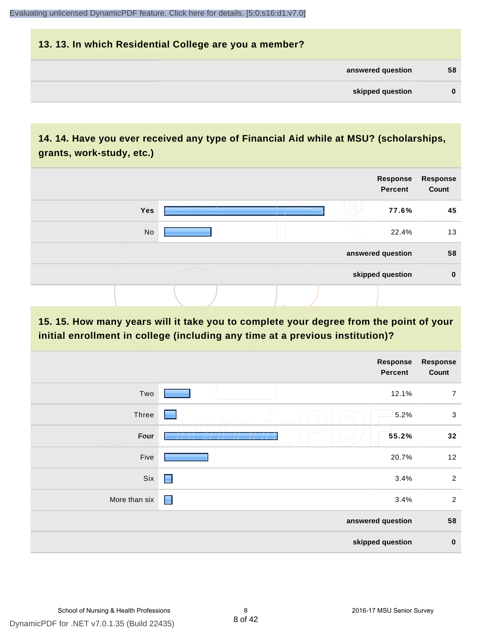# **13. 13. In which Residential College are you a member? answered question 58 skipped question 0**

# **14. 14. Have you ever received any type of Financial Aid while at MSU? (scholarships, grants, work-study, etc.)**



# **15. 15. How many years will it take you to complete your degree from the point of your initial enrollment in college (including any time at a previous institution)?**

|               |                 | <b>Response</b><br>Percent | <b>Response</b><br>Count |
|---------------|-----------------|----------------------------|--------------------------|
| Two           |                 | 12.1%                      | $\overline{7}$           |
| Three         | $\bigcirc$<br>۰ | 5.2%                       | $\sqrt{3}$               |
| Four          | $\mathbf{r}$    | 55.2%                      | 32                       |
| Five          |                 | 20.7%                      | 12                       |
| Six           | $\blacksquare$  | 3.4%                       | $\overline{2}$           |
| More than six | $\blacksquare$  | 3.4%                       | $\overline{2}$           |
|               |                 | answered question          | 58                       |
|               |                 | skipped question           | $\bf{0}$                 |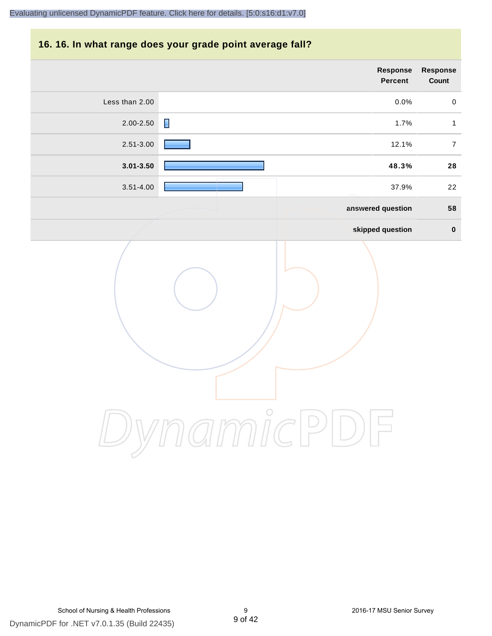#### **16. 16. In what range does your grade point average fall?**

| Response<br>Count | Response<br>Percent    |                |
|-------------------|------------------------|----------------|
| $\pmb{0}$         | 0.0%                   | Less than 2.00 |
| $\mathbf{1}$      | $\blacksquare$<br>1.7% | 2.00-2.50      |
| $\boldsymbol{7}$  | 12.1%                  | 2.51-3.00      |
| 28                | 48.3%                  | $3.01 - 3.50$  |
| 22                | 37.9%                  | $3.51 - 4.00$  |
| 58                | answered question      |                |
| $\pmb{0}$         | skipped question       |                |
|                   | $\bigcirc$             |                |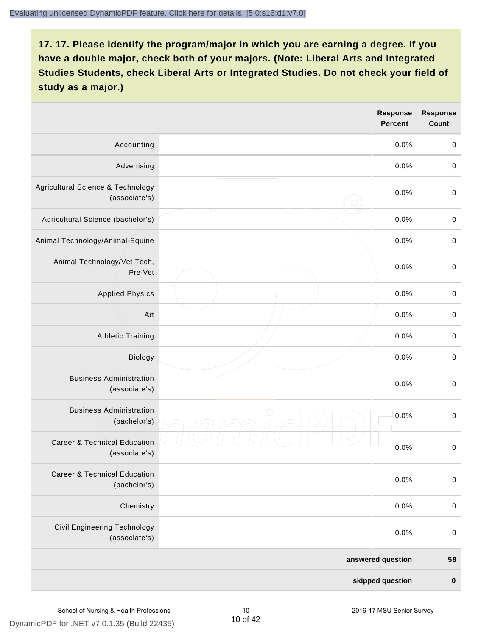|                                                          |            | <b>Response</b><br><b>Percent</b> | <b>Response</b><br><b>Count</b> |
|----------------------------------------------------------|------------|-----------------------------------|---------------------------------|
| Accounting                                               |            | 0.0%                              | $\boldsymbol{0}$                |
| Advertising                                              |            | 0.0%                              | $\boldsymbol{0}$                |
| Agricultural Science & Technology<br>(associate's)       |            | 0.0%                              | $\pmb{0}$                       |
| Agricultural Science (bachelor's)                        |            | 0.0%                              | $\mathbf 0$                     |
| Animal Technology/Animal-Equine                          |            | 0.0%                              | $\mathbf 0$                     |
| Animal Technology/Vet Tech,<br>Pre-Vet                   |            | 0.0%                              | $\mathbf 0$                     |
| <b>Applied Physics</b>                                   |            | 0.0%                              | $\mathbf 0$                     |
| Art                                                      |            | 0.0%                              | $\mathbf 0$                     |
| <b>Athletic Training</b>                                 |            | 0.0%                              | $\pmb{0}$                       |
| Biology                                                  |            | 0.0%                              | $\boldsymbol{0}$                |
| <b>Business Administration</b><br>(associate's)          |            | 0.0%                              | $\pmb{0}$                       |
| <b>Business Administration</b><br>(bachelor's)           | $\bigcirc$ | 0.0%                              | $\boldsymbol{0}$                |
| <b>Career &amp; Technical Education</b><br>(associate's) |            | 0.0%                              | $\mathbf 0$                     |
| <b>Career &amp; Technical Education</b><br>(bachelor's)  |            | 0.0%                              | $\pmb{0}$                       |
| Chemistry                                                |            | 0.0%                              | $\boldsymbol{0}$                |
| Civil Engineering Technology<br>(associate's)            |            | 0.0%                              | $\boldsymbol{0}$                |
|                                                          |            | answered question                 | 58                              |
|                                                          |            | skipped question                  | $\pmb{0}$                       |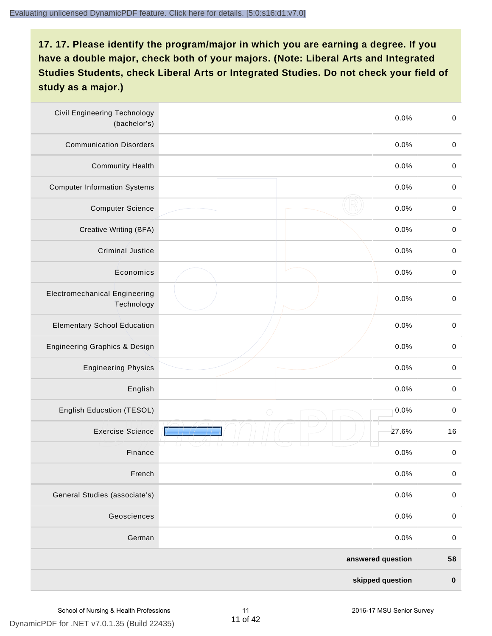| <b>Civil Engineering Technology</b><br>(bachelor's) |                   | $\mathbf 0$<br>0.0% |
|-----------------------------------------------------|-------------------|---------------------|
| <b>Communication Disorders</b>                      |                   | 0.0%<br>$\mathbf 0$ |
| <b>Community Health</b>                             |                   | 0.0%<br>$\pmb{0}$   |
| <b>Computer Information Systems</b>                 |                   | 0.0%<br>$\pmb{0}$   |
| <b>Computer Science</b>                             |                   | 0.0%<br>$\mathbf 0$ |
| Creative Writing (BFA)                              |                   | 0.0%<br>$\mathbf 0$ |
| <b>Criminal Justice</b>                             |                   | 0.0%<br>$\mathbf 0$ |
| Economics                                           |                   | 0.0%<br>$\pmb{0}$   |
| <b>Electromechanical Engineering</b><br>Technology  |                   | 0.0%<br>$\pmb{0}$   |
| <b>Elementary School Education</b>                  |                   | 0.0%<br>$\mathbf 0$ |
| Engineering Graphics & Design                       |                   | 0.0%<br>$\pmb{0}$   |
| <b>Engineering Physics</b>                          |                   | 0.0%<br>$\pmb{0}$   |
| English                                             |                   | 0.0%<br>$\pmb{0}$   |
| English Education (TESOL)                           | $\bigcirc$        | 0.0%<br>$\mathbf 0$ |
| <b>Exercise Science</b>                             |                   | 27.6%<br>16         |
| Finance                                             |                   | 0.0%<br>$\,0\,$     |
| French                                              |                   | 0.0%<br>$\pmb{0}$   |
| General Studies (associate's)                       |                   | 0.0%<br>$\pmb{0}$   |
| Geosciences                                         |                   | 0.0%<br>$\mathbf 0$ |
| German                                              |                   | 0.0%<br>$\mathbf 0$ |
|                                                     | answered question | 58                  |
|                                                     | skipped question  | $\pmb{0}$           |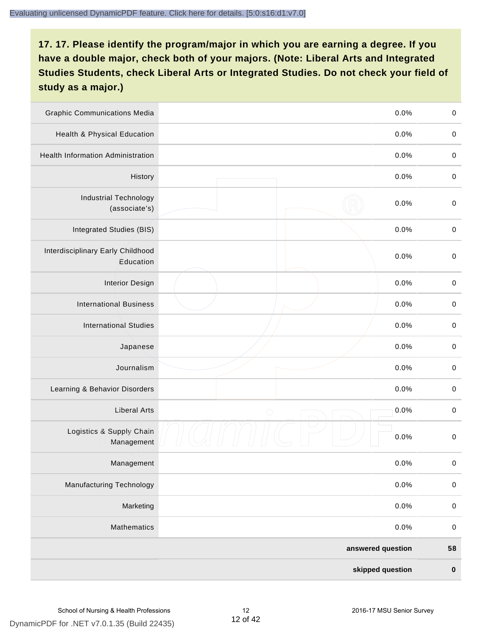| <b>Graphic Communications Media</b>            |                   | 0.0% | $\mathbf 0$ |
|------------------------------------------------|-------------------|------|-------------|
| Health & Physical Education                    |                   | 0.0% | $\mathbf 0$ |
| <b>Health Information Administration</b>       |                   | 0.0% | $\pmb{0}$   |
| History                                        |                   | 0.0% | $\pmb{0}$   |
| <b>Industrial Technology</b><br>(associate's)  |                   | 0.0% | $\mathbf 0$ |
| Integrated Studies (BIS)                       |                   | 0.0% | $\mathbf 0$ |
| Interdisciplinary Early Childhood<br>Education |                   | 0.0% | $\mathbf 0$ |
| <b>Interior Design</b>                         |                   | 0.0% | $\pmb{0}$   |
| <b>International Business</b>                  |                   | 0.0% | $\mathbf 0$ |
| <b>International Studies</b>                   |                   | 0.0% | $\,0\,$     |
| Japanese                                       |                   | 0.0% | $\pmb{0}$   |
| Journalism                                     |                   | 0.0% | $\pmb{0}$   |
| Learning & Behavior Disorders                  |                   | 0.0% | $\pmb{0}$   |
| <b>Liberal Arts</b>                            | $\bigcirc$        | 0.0% | $\pmb{0}$   |
| Logistics & Supply Chain<br>Management         |                   | 0.0% | $\pmb{0}$   |
| Management                                     |                   | 0.0% | $\pmb{0}$   |
| <b>Manufacturing Technology</b>                |                   | 0.0% | $\mathbf 0$ |
| Marketing                                      |                   | 0.0% | $\,0\,$     |
| Mathematics                                    |                   | 0.0% | $\,0\,$     |
|                                                | answered question |      | 58          |
|                                                | skipped question  |      | $\pmb{0}$   |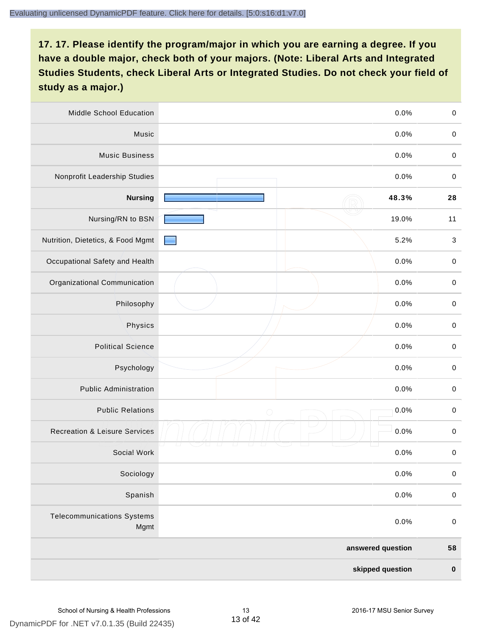| Middle School Education                   |            | 0.0%              | $\,0\,$     |
|-------------------------------------------|------------|-------------------|-------------|
| Music                                     |            | 0.0%              | $\mathbf 0$ |
| <b>Music Business</b>                     |            | 0.0%              | $\mathbf 0$ |
| Nonprofit Leadership Studies              |            | 0.0%              | $\pmb{0}$   |
| <b>Nursing</b>                            |            | 48.3%             | 28          |
| Nursing/RN to BSN                         |            | 19.0%             | 11          |
| Nutrition, Dietetics, & Food Mgmt         |            | 5.2%              | $\sqrt{3}$  |
| Occupational Safety and Health            |            | 0.0%              | $\mathbf 0$ |
| Organizational Communication              |            | 0.0%              | $\pmb{0}$   |
| Philosophy                                |            | 0.0%              | $\pmb{0}$   |
| Physics                                   |            | 0.0%              | $\,0\,$     |
| <b>Political Science</b>                  |            | 0.0%              | $\pmb{0}$   |
| Psychology                                |            | 0.0%              | $\pmb{0}$   |
| <b>Public Administration</b>              |            | 0.0%              | $\pmb{0}$   |
| <b>Public Relations</b>                   | $\bigcirc$ | 0.0%              | $\pmb{0}$   |
| <b>Recreation &amp; Leisure Services</b>  |            | 0.0%              | $\pmb{0}$   |
| Social Work                               |            | 0.0%              | $\pmb{0}$   |
| Sociology                                 |            | 0.0%              | $\mathbf 0$ |
| Spanish                                   |            | 0.0%              | $\pmb{0}$   |
| <b>Telecommunications Systems</b><br>Mgmt |            | 0.0%              | $\mathbf 0$ |
|                                           |            | answered question | 58          |
|                                           |            | skipped question  | $\pmb{0}$   |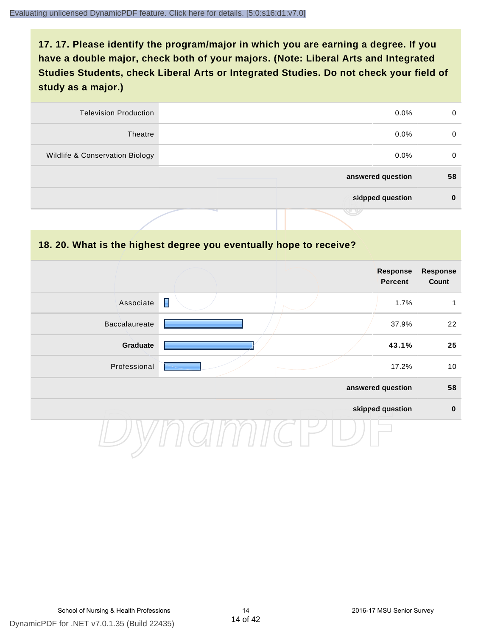| <b>Television Production</b>    | $0.0\%$           | 0  |
|---------------------------------|-------------------|----|
| Theatre                         | $0.0\%$           | 0  |
| Wildlife & Conservation Biology | $0.0\%$           | 0  |
|                                 | answered question | 58 |
|                                 | skipped question  | 0  |
|                                 | .                 |    |

#### **18. 20. What is the highest degree you eventually hope to receive?**

|                      |                | Response<br><b>Percent</b> | <b>Response</b><br>Count |
|----------------------|----------------|----------------------------|--------------------------|
| Associate            | $\blacksquare$ | 1.7%                       | 1                        |
| <b>Baccalaureate</b> |                | 37.9%                      | 22                       |
| Graduate             |                | 43.1%                      | 25                       |
| Professional         |                | 17.2%                      | 10                       |
|                      |                | answered question          | 58                       |
|                      |                | skipped question           | $\mathbf 0$              |
|                      |                |                            |                          |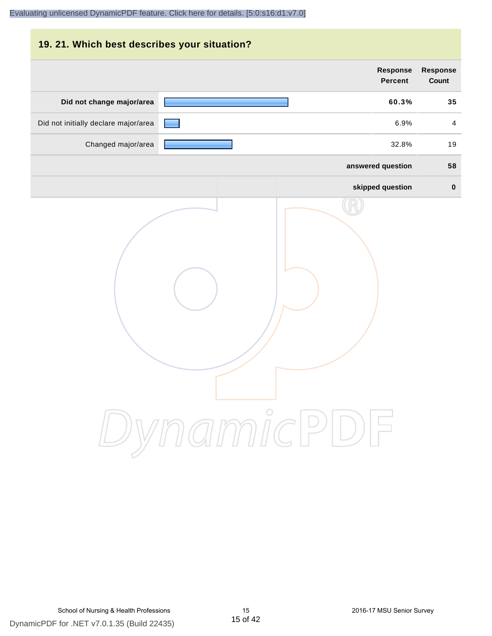| 19. 21. Which best describes your situation? |                                   |                                 |
|----------------------------------------------|-----------------------------------|---------------------------------|
|                                              | <b>Response</b><br><b>Percent</b> | <b>Response</b><br><b>Count</b> |
| Did not change major/area                    | 60.3%                             | 35                              |
| Did not initially declare major/area         | 6.9%                              | $\overline{a}$                  |
| Changed major/area                           | 32.8%                             | 19                              |
|                                              | answered question                 | 58                              |
|                                              | skipped question                  | $\bf{0}$                        |
|                                              | DynamicPDF                        |                                 |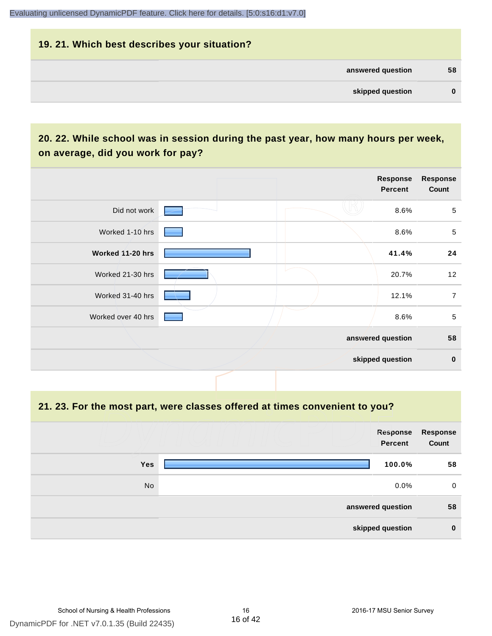| 19. 21. Which best describes your situation? |          |
|----------------------------------------------|----------|
| answered question                            | 58       |
| skipped question                             | $\bf{0}$ |

# **20. 22. While school was in session during the past year, how many hours per week, on average, did you work for pay?**

|                    |  | Response<br>Percent | <b>Response</b><br>Count |
|--------------------|--|---------------------|--------------------------|
| Did not work       |  | 8.6%                | $\sqrt{5}$               |
| Worked 1-10 hrs    |  | 8.6%                | $\sqrt{5}$               |
| Worked 11-20 hrs   |  | 41.4%               | 24                       |
| Worked 21-30 hrs   |  | 20.7%               | 12                       |
| Worked 31-40 hrs   |  | 12.1%               | $\overline{7}$           |
| Worked over 40 hrs |  | 8.6%                | $\sqrt{5}$               |
|                    |  | answered question   | 58                       |
|                    |  | skipped question    | $\mathbf 0$              |

**21. 23. For the most part, were classes offered at times convenient to you?**

|            | Response<br>Percent | Response<br>Count |
|------------|---------------------|-------------------|
| <b>Yes</b> | 100.0%              | 58                |
| No         | $0.0\%$             | 0                 |
|            | answered question   | 58                |
|            | skipped question    | $\bf{0}$          |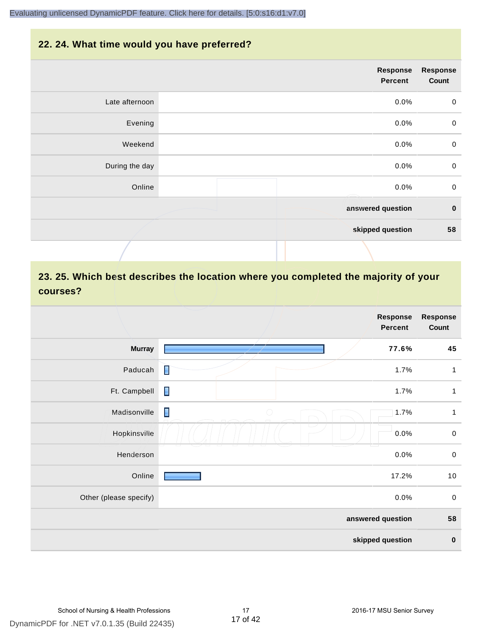#### **22. 24. What time would you have preferred?**

|                | Response<br>Percent | <b>Response</b><br>Count |
|----------------|---------------------|--------------------------|
| Late afternoon | 0.0%                | $\pmb{0}$                |
| Evening        | 0.0%                | $\pmb{0}$                |
| Weekend        | 0.0%                | $\pmb{0}$                |
| During the day | 0.0%                | $\mathbf 0$              |
| Online         | 0.0%                | $\mathbf 0$              |
|                | answered question   | $\bf{0}$                 |
|                | skipped question    | 58                       |
|                |                     |                          |

# **23. 25. Which best describes the location where you completed the majority of your courses?**

|                        |                              | <b>Response</b><br>Percent | <b>Response</b><br>Count |
|------------------------|------------------------------|----------------------------|--------------------------|
| <b>Murray</b>          |                              | 77.6%                      | 45                       |
| Paducah                | П                            | 1.7%                       | 1                        |
| Ft. Campbell           | П                            | 1.7%                       | 1                        |
| Madisonville           | $\blacksquare$<br>$\bigcirc$ | 1.7%                       | $\mathbf{1}$             |
| Hopkinsville           |                              | 0.0%                       | $\pmb{0}$                |
| Henderson              |                              | 0.0%                       | $\pmb{0}$                |
| Online                 |                              | 17.2%                      | 10                       |
| Other (please specify) |                              | 0.0%                       | $\pmb{0}$                |
|                        |                              | answered question          | 58                       |
|                        |                              | skipped question           | $\pmb{0}$                |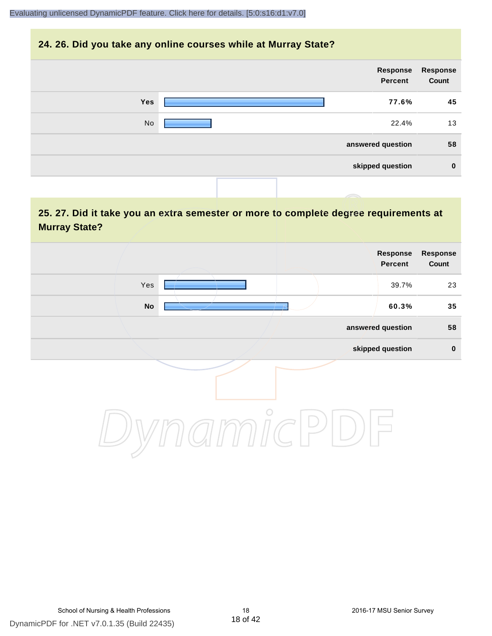#### **24. 26. Did you take any online courses while at Murray State?**

| Response<br>Count | Response<br>Percent |  |            |
|-------------------|---------------------|--|------------|
| 45                | 77.6%               |  | <b>Yes</b> |
| 13                | 22.4%               |  | No         |
| 58                | answered question   |  |            |
| $\mathbf 0$       | skipped question    |  |            |
|                   |                     |  |            |

# **25. 27. Did it take you an extra semester or more to complete degree requirements at Murray State?**

|         | Response<br>Percent | Response<br>Count |
|---------|---------------------|-------------------|
| Yes     | 39.7%               | 23                |
| No      | 60.3%               | 35                |
|         | answered question   | 58                |
|         | skipped question    | $\pmb{0}$         |
| $\circ$ |                     |                   |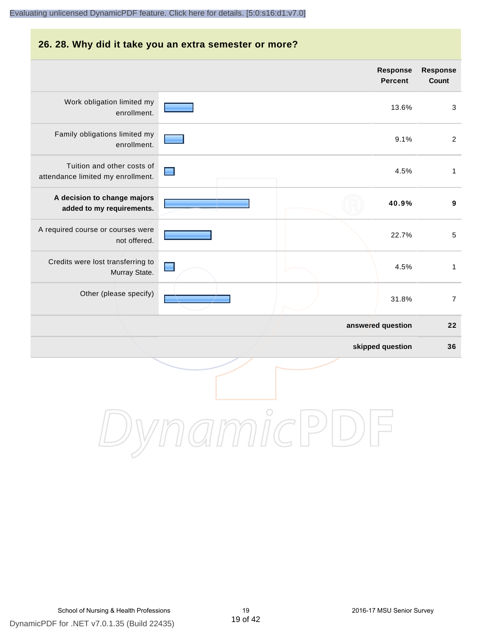#### **26. 28. Why did it take you an extra semester or more?**

|                                                                 | <b>Response</b><br><b>Percent</b> | <b>Response</b><br>Count |
|-----------------------------------------------------------------|-----------------------------------|--------------------------|
| Work obligation limited my<br>enrollment.                       | 13.6%                             | $\mathbf{3}$             |
| Family obligations limited my<br>enrollment.                    | 9.1%                              | $\overline{2}$           |
| Tuition and other costs of<br>attendance limited my enrollment. | 4.5%                              | $\mathbf{1}$             |
| A decision to change majors<br>added to my requirements.        | 40.9%                             | $\boldsymbol{9}$         |
| A required course or courses were<br>not offered.               | 22.7%                             | $\sqrt{5}$               |
| Credits were lost transferring to<br>Murray State.              | 4.5%                              | $\mathbf{1}$             |
| Other (please specify)                                          | 31.8%                             | $\overline{7}$           |
|                                                                 | answered question                 | 22                       |
|                                                                 | skipped question                  | 36                       |
|                                                                 |                                   |                          |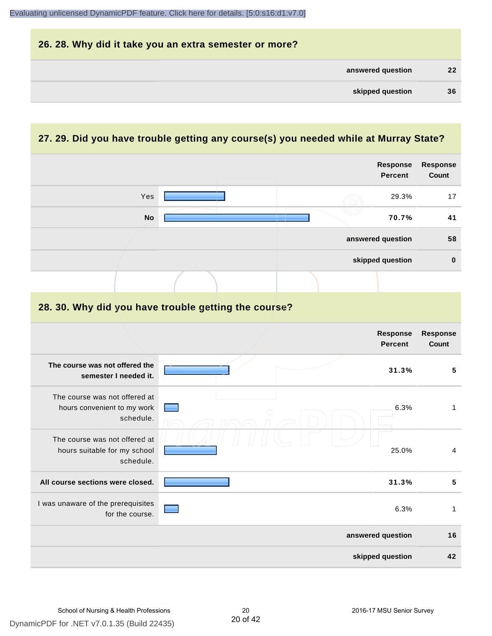| 26. 28. Why did it take you an extra semester or more? |                   |
|--------------------------------------------------------|-------------------|
| answered question                                      | $22 \overline{ }$ |
| skipped question                                       | 36                |

# **27. 29. Did you have trouble getting any course(s) you needed while at Murray State?**

|                                                                            |                                                      | Response<br>Percent        | <b>Response</b><br>Count |
|----------------------------------------------------------------------------|------------------------------------------------------|----------------------------|--------------------------|
| Yes                                                                        |                                                      | 29.3%                      | 17                       |
| <b>No</b>                                                                  |                                                      | 70.7%                      | 41                       |
|                                                                            |                                                      | answered question          | 58                       |
|                                                                            |                                                      | skipped question           | $\mathbf 0$              |
|                                                                            |                                                      |                            |                          |
|                                                                            | 28. 30. Why did you have trouble getting the course? |                            |                          |
|                                                                            |                                                      | Response<br><b>Percent</b> | <b>Response</b><br>Count |
| The course was not offered the<br>semester I needed it.                    |                                                      | 31.3%                      | 5                        |
| The course was not offered at<br>hours convenient to my work<br>schedule.  |                                                      | 6.3%                       | $\mathbf{1}$             |
| The course was not offered at<br>hours suitable for my school<br>schedule. |                                                      | 25.0%                      | $\overline{\mathbf{4}}$  |
| All course sections were closed.                                           |                                                      | 31.3%                      | $\overline{\mathbf{5}}$  |
| I was unaware of the prerequisites<br>for the course.                      |                                                      | 6.3%                       | $\mathbf{1}$             |
|                                                                            |                                                      | answered question          | 16                       |
|                                                                            |                                                      | skipped question           | 42                       |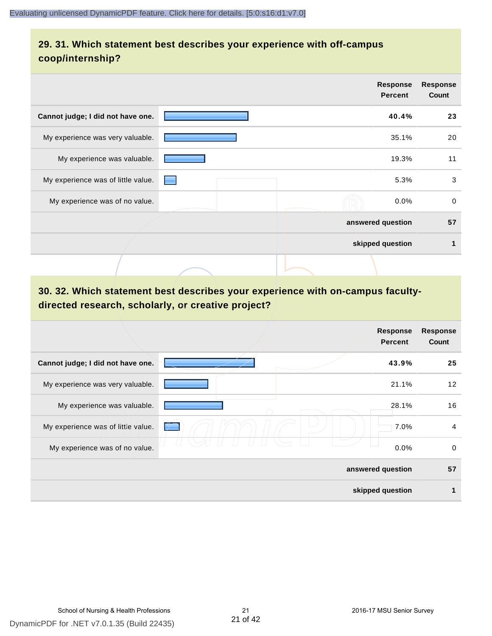# **29. 31. Which statement best describes your experience with off-campus coop/internship?**

|                                    | <b>Response</b><br><b>Percent</b> |       | <b>Response</b><br>Count |
|------------------------------------|-----------------------------------|-------|--------------------------|
| Cannot judge; I did not have one.  |                                   | 40.4% | 23                       |
| My experience was very valuable.   |                                   | 35.1% | 20                       |
| My experience was valuable.        |                                   | 19.3% | 11                       |
| My experience was of little value. |                                   | 5.3%  | 3                        |
| My experience was of no value.     |                                   | 0.0%  | $\mathbf 0$              |
|                                    | answered question                 |       | 57                       |
|                                    | skipped question                  |       | 1                        |
|                                    |                                   |       |                          |

# **30. 32. Which statement best describes your experience with on-campus facultydirected research, scholarly, or creative project?**

|                                    | <b>Response</b><br><b>Percent</b> | <b>Response</b><br>Count |
|------------------------------------|-----------------------------------|--------------------------|
| Cannot judge; I did not have one.  | 43.9%                             | 25                       |
| My experience was very valuable.   | 21.1%                             | $12 \overline{ }$        |
| My experience was valuable.        | 28.1%                             | 16                       |
| My experience was of little value. | 7.0%<br>$\rightarrow$             | $\overline{4}$           |
| My experience was of no value.     | 0.0%                              | 0                        |
|                                    | answered question                 | 57                       |
|                                    | skipped question                  |                          |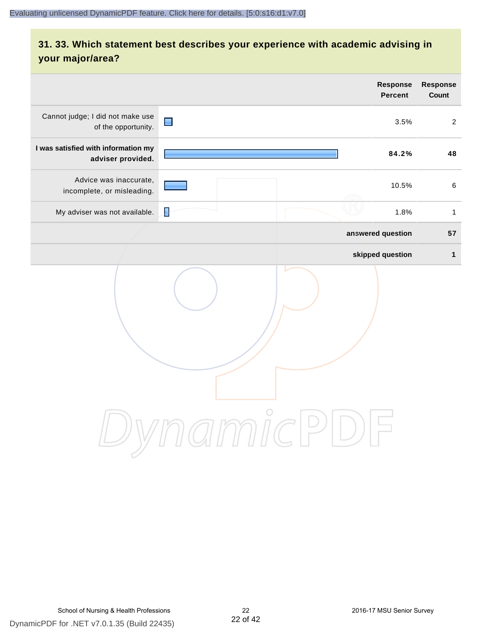# **31. 33. Which statement best describes your experience with academic advising in your major/area?**

|                                                          | <b>Response</b><br><b>Percent</b> | Response<br>Count |
|----------------------------------------------------------|-----------------------------------|-------------------|
| Cannot judge; I did not make use<br>of the opportunity.  | $\blacksquare$<br>3.5%            | $\overline{2}$    |
| I was satisfied with information my<br>adviser provided. | 84.2%                             | 48                |
| Advice was inaccurate,<br>incomplete, or misleading.     | 10.5%                             | $\,6\,$           |
| My adviser was not available.                            | Į<br>1.8%                         | $\mathbf{1}$      |
|                                                          | answered question                 | 57                |
|                                                          | skipped question                  | $\mathbf{1}$      |
|                                                          | amnicl<br>$\Rightarrow$           |                   |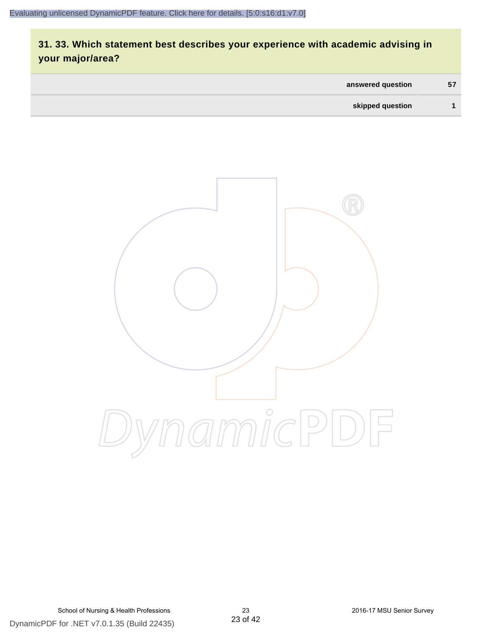# **31. 33. Which statement best describes your experience with academic advising in your major/area?**

| answered question | 57 |
|-------------------|----|
| skipped question  |    |

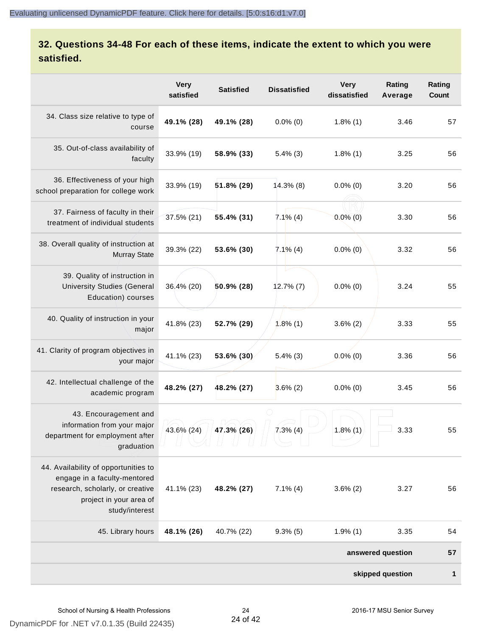# **32. Questions 34-48 For each of these items, indicate the extent to which you were satisfied.**

|                                                                                                                                                       | <b>Very</b><br>satisfied | <b>Satisfied</b> | <b>Dissatisfied</b> | <b>Very</b><br>dissatisfied | Rating<br>Average | Rating<br>Count |
|-------------------------------------------------------------------------------------------------------------------------------------------------------|--------------------------|------------------|---------------------|-----------------------------|-------------------|-----------------|
| 34. Class size relative to type of<br>course                                                                                                          | 49.1% (28)               | 49.1% (28)       | $0.0\%$ (0)         | $1.8\%$ (1)                 | 3.46              | 57              |
| 35. Out-of-class availability of<br>faculty                                                                                                           | 33.9% (19)               | 58.9% (33)       | $5.4\%$ (3)         | $1.8\%$ (1)                 | 3.25              | 56              |
| 36. Effectiveness of your high<br>school preparation for college work                                                                                 | 33.9% (19)               | 51.8% (29)       | $14.3\%$ (8)        | $0.0\%$ (0)                 | 3.20              | 56              |
| 37. Fairness of faculty in their<br>treatment of individual students                                                                                  | 37.5% (21)               | 55.4% (31)       | $7.1\%$ (4)         | $0.0\%$ $(0)$               | 3.30              | 56              |
| 38. Overall quality of instruction at<br><b>Murray State</b>                                                                                          | 39.3% (22)               | 53.6% (30)       | $7.1\%$ (4)         | $0.0\%$ (0)                 | 3.32              | 56              |
| 39. Quality of instruction in<br><b>University Studies (General</b><br>Education) courses                                                             | 36.4% (20)               | 50.9% (28)       | $12.7\%$ (7)        | $0.0\%$ (0)                 | 3.24              | 55              |
| 40. Quality of instruction in your<br>major                                                                                                           | 41.8% (23)               | 52.7% (29)       | $1.8\%$ (1)         | $3.6\%$ (2)                 | 3.33              | 55              |
| 41. Clarity of program objectives in<br>your major                                                                                                    | 41.1% (23)               | 53.6% (30)       | $5.4\%$ (3)         | $0.0\%$ (0)                 | 3.36              | 56              |
| 42. Intellectual challenge of the<br>academic program                                                                                                 | 48.2% (27)               | 48.2% (27)       | $3.6\%$ (2)         | $0.0\%$ (0)                 | 3.45              | 56              |
| 43. Encouragement and<br>information from your major<br>department for employment after<br>graduation                                                 | 43.6% (24)               | 47.3% (26)       | $7.3%$ (4)          | $1.8\%$ (1)                 | 3.33              | 55              |
| 44. Availability of opportunities to<br>engage in a faculty-mentored<br>research, scholarly, or creative<br>project in your area of<br>study/interest | 41.1% (23)               | 48.2% (27)       | $7.1\%$ (4)         | $3.6\%$ (2)                 | 3.27              | 56              |
| 45. Library hours                                                                                                                                     | 48.1% (26)               | 40.7% (22)       | $9.3\%$ (5)         | 1.9%(1)                     | 3.35              | 54              |
|                                                                                                                                                       |                          |                  |                     |                             | answered question | 57              |
| skipped question                                                                                                                                      |                          |                  |                     |                             | $\mathbf{1}$      |                 |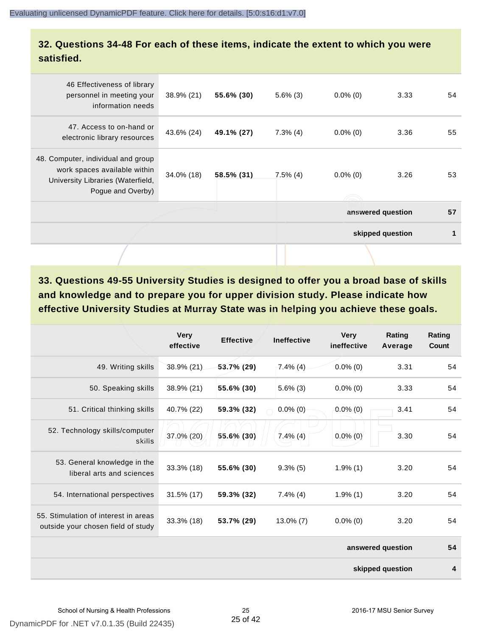## **32. Questions 34-48 For each of these items, indicate the extent to which you were satisfied.**

| 46 Effectiveness of library<br>personnel in meeting your<br>information needs                                                | 38.9% (21) | 55.6% (30) | $5.6\%$ (3) | $0.0\%$ (0) | 3.33              | 54 |
|------------------------------------------------------------------------------------------------------------------------------|------------|------------|-------------|-------------|-------------------|----|
| 47. Access to on-hand or<br>electronic library resources                                                                     | 43.6% (24) | 49.1% (27) | $7.3\%$ (4) | $0.0\%$ (0) | 3.36              | 55 |
| 48. Computer, individual and group<br>work spaces available within<br>University Libraries (Waterfield,<br>Pogue and Overby) | 34.0% (18) | 58.5% (31) | $7.5\%$ (4) | $0.0\%$ (0) | 3.26              | 53 |
|                                                                                                                              |            |            |             |             | answered question | 57 |
|                                                                                                                              |            |            |             |             | skipped question  | 1  |
|                                                                                                                              |            |            |             |             |                   |    |

**33. Questions 49-55 University Studies is designed to offer you a broad base of skills and knowledge and to prepare you for upper division study. Please indicate how effective University Studies at Murray State was in helping you achieve these goals.**

|                                                                            | <b>Very</b><br>effective | <b>Effective</b> | <b>Ineffective</b> | <b>Very</b><br>ineffective | Rating<br>Average | Rating<br>Count |
|----------------------------------------------------------------------------|--------------------------|------------------|--------------------|----------------------------|-------------------|-----------------|
| 49. Writing skills                                                         | 38.9% (21)               | $53.7\%$ (29)    | $7.4\%$ (4)        | $0.0\%$ (0)                | 3.31              | 54              |
| 50. Speaking skills                                                        | 38.9% (21)               | 55.6% (30)       | $5.6\%$ (3)        | $0.0\%$ (0)                | 3.33              | 54              |
| 51. Critical thinking skills                                               | 40.7% (22)               | 59.3% (32)       | $0.0\%$ (0)        | $0.0\%$ (0)                | 3.41              | 54              |
| 52. Technology skills/computer<br>skills                                   | 37.0% (20)               | 55.6% (30)       | $7.4\%$ (4)        | $0.0\%$ (0)                | 3.30              | 54              |
| 53. General knowledge in the<br>liberal arts and sciences                  | 33.3% (18)               | 55.6% (30)       | $9.3\%$ (5)        | $1.9\%$ (1)                | 3.20              | 54              |
| 54. International perspectives                                             | 31.5% (17)               | 59.3% (32)       | $7.4\%$ (4)        | $1.9\%$ (1)                | 3.20              | 54              |
| 55. Stimulation of interest in areas<br>outside your chosen field of study | 33.3% (18)               | 53.7% (29)       | $13.0\%$ (7)       | $0.0\%$ (0)                | 3.20              | 54              |
|                                                                            |                          |                  |                    |                            | answered question | 54              |
|                                                                            |                          |                  |                    |                            | skipped question  | 4               |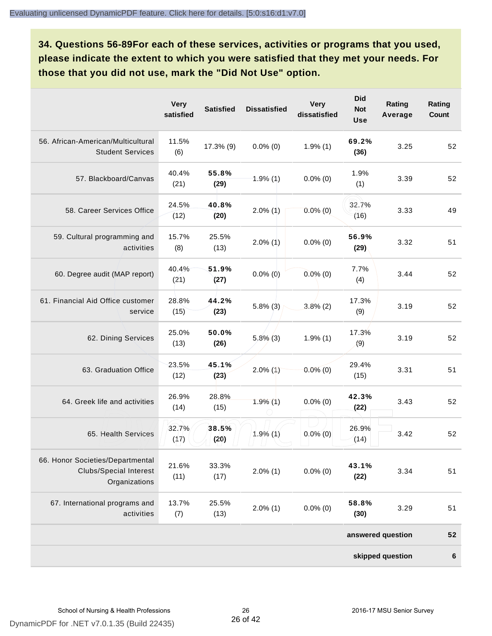**34. Questions 56-89For each of these services, activities or programs that you used, please indicate the extent to which you were satisfied that they met your needs. For those that you did not use, mark the "Did Not Use" option.**

|                                                                                    | <b>Very</b><br>satisfied | <b>Satisfied</b> | <b>Dissatisfied</b> | <b>Very</b><br>dissatisfied | <b>Did</b><br><b>Not</b><br><b>Use</b> | Rating<br>Average | Rating<br>Count  |
|------------------------------------------------------------------------------------|--------------------------|------------------|---------------------|-----------------------------|----------------------------------------|-------------------|------------------|
| 56. African-American/Multicultural<br><b>Student Services</b>                      | 11.5%<br>(6)             | $17.3\%$ (9)     | $0.0\%$ (0)         | $1.9\%$ (1)                 | 69.2%<br>(36)                          | 3.25              | 52               |
| 57. Blackboard/Canvas                                                              | 40.4%<br>(21)            | 55.8%<br>(29)    | $1.9\%$ (1)         | $0.0\%$ (0)                 | 1.9%<br>(1)                            | 3.39              | 52               |
| 58. Career Services Office                                                         | 24.5%<br>(12)            | 40.8%<br>(20)    | $2.0\%$ (1)         | $0.0\%$ (0)                 | 32.7%<br>(16)                          | 3.33              | 49               |
| 59. Cultural programming and<br>activities                                         | 15.7%<br>(8)             | 25.5%<br>(13)    | $2.0\%$ (1)         | $0.0\%$ (0)                 | 56.9%<br>(29)                          | 3.32              | 51               |
| 60. Degree audit (MAP report)                                                      | 40.4%<br>(21)            | 51.9%<br>(27)    | $0.0\%$ (0)         | $0.0\%$ (0)                 | 7.7%<br>(4)                            | 3.44              | 52               |
| 61. Financial Aid Office customer<br>service                                       | 28.8%<br>(15)            | 44.2%<br>(23)    | $5.8\%$ (3)         | $3.8\%$ (2)                 | 17.3%<br>(9)                           | 3.19              | 52               |
| 62. Dining Services                                                                | 25.0%<br>(13)            | 50.0%<br>(26)    | $5,8\%$ (3)         | $1.9\%$ (1)                 | 17.3%<br>(9)                           | 3.19              | 52               |
| 63. Graduation Office                                                              | 23.5%<br>(12)            | 45.1%<br>(23)    | $2.0\%$ (1)         | $0.0\%$ (0)                 | 29.4%<br>(15)                          | 3.31              | 51               |
| 64. Greek life and activities                                                      | 26.9%<br>(14)            | 28.8%<br>(15)    | 1.9%(1)             | $0.0\%$ (0)                 | 42.3%<br>(22)                          | 3.43              | 52               |
| 65. Health Services                                                                | 32.7%<br>(17)            | 38.5%<br>(20)    | $1.9\%$ (1)         | $0.0\%$ (0)                 | 26.9%<br>(14)                          | 3.42              | 52               |
| 66. Honor Societies/Departmental<br><b>Clubs/Special Interest</b><br>Organizations | 21.6%<br>(11)            | 33.3%<br>(17)    | $2.0\%$ (1)         | $0.0\%$ (0)                 | 43.1%<br>(22)                          | 3.34              | 51               |
| 67. International programs and<br>activities                                       | 13.7%<br>(7)             | 25.5%<br>(13)    | $2.0\%$ (1)         | $0.0\%$ (0)                 | 58.8%<br>(30)                          | 3.29              | 51               |
|                                                                                    |                          |                  |                     |                             |                                        | answered question | 52               |
|                                                                                    |                          |                  |                     |                             |                                        | skipped question  | $\boldsymbol{6}$ |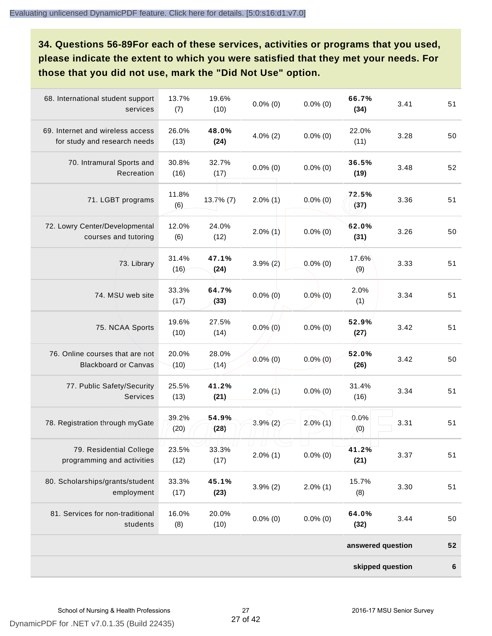**34. Questions 56-89For each of these services, activities or programs that you used, please indicate the extent to which you were satisfied that they met your needs. For those that you did not use, mark the "Did Not Use" option.**

| 68. International student support<br>services                    | 13.7%<br>(7)  | 19.6%<br>(10) | $0.0\%$ (0)           | $0.0\%$ (0) | 66.7%<br>(34)     | 3.41 | 51      |
|------------------------------------------------------------------|---------------|---------------|-----------------------|-------------|-------------------|------|---------|
| 69. Internet and wireless access<br>for study and research needs | 26.0%<br>(13) | 48.0%<br>(24) | $4.0\%$ (2)           | $0.0\%$ (0) | 22.0%<br>(11)     | 3.28 | 50      |
| 70. Intramural Sports and<br>Recreation                          | 30.8%<br>(16) | 32.7%<br>(17) | $0.0\%$ (0)           | $0.0\%$ (0) | 36.5%<br>(19)     | 3.48 | 52      |
| 71. LGBT programs                                                | 11.8%<br>(6)  | $13.7\%$ (7)  | $2.0\%$ (1)           | $0.0\%$ (0) | 72.5%<br>(37)     | 3.36 | 51      |
| 72. Lowry Center/Developmental<br>courses and tutoring           | 12.0%<br>(6)  | 24.0%<br>(12) | $2.0\%$ (1)           | $0.0\%$ (0) | 62.0%<br>(31)     | 3.26 | 50      |
| 73. Library                                                      | 31.4%<br>(16) | 47.1%<br>(24) | $3.9\% (2)$           | $0.0\%$ (0) | 17.6%<br>(9)      | 3.33 | 51      |
| 74. MSU web site                                                 | 33.3%<br>(17) | 64.7%<br>(33) | $0.0\%$ (0)           | $0.0\%$ (0) | 2.0%<br>(1)       | 3.34 | 51      |
| 75. NCAA Sports                                                  | 19.6%<br>(10) | 27.5%<br>(14) | $0.0\%$ (0)           | $0.0\%$ (0) | 52.9%<br>(27)     | 3.42 | 51      |
| 76. Online courses that are not<br><b>Blackboard or Canvas</b>   | 20.0%<br>(10) | 28.0%<br>(14) | $0.0\%$ (0)           | $0.0\%$ (0) | 52.0%<br>(26)     | 3.42 | 50      |
| 77. Public Safety/Security<br><b>Services</b>                    | 25.5%<br>(13) | 41.2%<br>(21) | $2.0\%$ (1)           | $0.0\%$ (0) | 31.4%<br>(16)     | 3.34 | 51      |
| 78. Registration through myGate                                  | 39.2%<br>(20) | 54.9%<br>(28) | $3.9\%$ (2)           | $2.0\%$ (1) | 0.0%<br>(0)       | 3.31 | 51      |
| 79. Residential College<br>programming and activities            | 23.5%<br>(12) | 33.3%<br>(17) | $\Box$<br>$2.0\%$ (1) | $0.0\%$ (0) | 41.2%<br>(21)     | 3.37 | 51      |
| 80. Scholarships/grants/student<br>employment                    | 33.3%<br>(17) | 45.1%<br>(23) | $3.9\%$ (2)           | $2.0\%$ (1) | 15.7%<br>(8)      | 3.30 | 51      |
| 81. Services for non-traditional<br>students                     | 16.0%<br>(8)  | 20.0%<br>(10) | $0.0\%$ (0)           | $0.0\%$ (0) | 64.0%<br>(32)     | 3.44 | 50      |
|                                                                  |               |               |                       |             | answered question |      | 52      |
|                                                                  |               |               |                       |             | skipped question  |      | $\bf 6$ |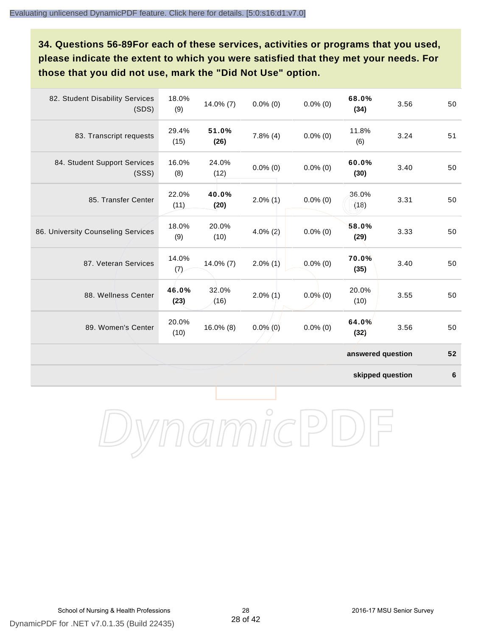**34. Questions 56-89For each of these services, activities or programs that you used, please indicate the extent to which you were satisfied that they met your needs. For those that you did not use, mark the "Did Not Use" option.**

| 82. Student Disability Services<br>(SDS) | 18.0%<br>(9)  | 14.0% (7)     | $0.0\%$ (0) | $0.0\%$ (0) | 68.0%<br>(34)     | 3.56 | 50 |
|------------------------------------------|---------------|---------------|-------------|-------------|-------------------|------|----|
| 83. Transcript requests                  | 29.4%<br>(15) | 51.0%<br>(26) | $7.8\%$ (4) | $0.0\%$ (0) | 11.8%<br>(6)      | 3.24 | 51 |
| 84. Student Support Services<br>(SSS)    | 16.0%<br>(8)  | 24.0%<br>(12) | $0.0\%$ (0) | $0.0\%$ (0) | 60.0%<br>(30)     | 3.40 | 50 |
| 85. Transfer Center                      | 22.0%<br>(11) | 40.0%<br>(20) | $2.0\%$ (1) | $0.0\%$ (0) | 36.0%<br>(18)     | 3.31 | 50 |
| 86. University Counseling Services       | 18.0%<br>(9)  | 20.0%<br>(10) | $4.0\%$ (2) | $0.0\%$ (0) | 58.0%<br>(29)     | 3.33 | 50 |
| 87. Veteran Services                     | 14.0%<br>(7)  | $14.0\%$ (7)  | $2.0\%$ (1) | $0.0\%$ (0) | 70.0%<br>(35)     | 3.40 | 50 |
| 88. Wellness Center                      | 46.0%<br>(23) | 32.0%<br>(16) | $2.0\%$ (1) | $0.0\%$ (0) | 20.0%<br>(10)     | 3.55 | 50 |
| 89. Women's Center                       | 20.0%<br>(10) | $16.0\%$ (8)  | $0.0\%$ (0) | $0.0\%$ (0) | 64.0%<br>(32)     | 3.56 | 50 |
|                                          |               |               |             |             | answered question |      | 52 |

**skipped question 6**

DynamicPDF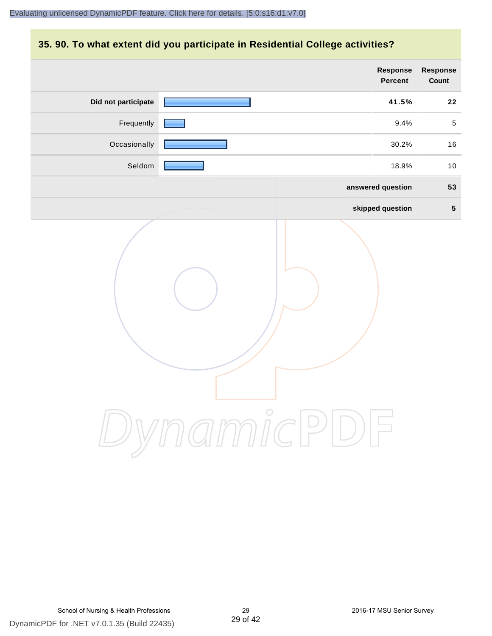# **35. 90. To what extent did you participate in Residential College activities?**

|                     | Response<br>Percent  | Response<br>Count |
|---------------------|----------------------|-------------------|
| Did not participate | 41.5%                | 22                |
| Frequently          | 9.4%                 | $\sqrt{5}$        |
| Occasionally        | 30.2%                | 16                |
| Seldom              | 18.9%                | 10                |
|                     | answered question    | 53                |
|                     | skipped question     | $5\phantom{.0}$   |
|                     | mamicPl<br>$\bigcup$ |                   |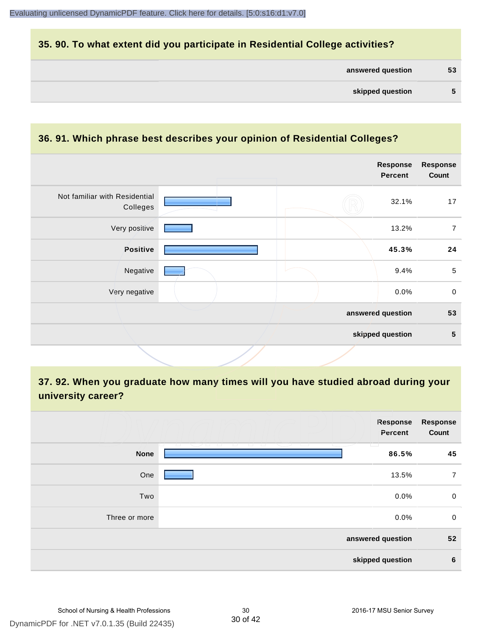# **35. 90. To what extent did you participate in Residential College activities?**

| answered question | 53 |
|-------------------|----|
|-------------------|----|

#### **36. 91. Which phrase best describes your opinion of Residential Colleges?**

|                                           |  | Response<br><b>Percent</b> | <b>Response</b><br>Count |
|-------------------------------------------|--|----------------------------|--------------------------|
| Not familiar with Residential<br>Colleges |  | 32.1%                      | 17                       |
| Very positive                             |  | 13.2%                      | $\overline{7}$           |
| Positive                                  |  | 45.3%                      | 24                       |
| Negative                                  |  | 9.4%                       | $\sqrt{5}$               |
| Very negative                             |  | 0.0%                       | $\mathbf 0$              |
|                                           |  | answered question          | 53                       |
|                                           |  | skipped question           | 5                        |
|                                           |  |                            |                          |

# **37. 92. When you graduate how many times will you have studied abroad during your university career?**

|                   | Response<br>Percent                                            | <b>Response</b><br>Count |  |
|-------------------|----------------------------------------------------------------|--------------------------|--|
| <b>None</b>       | and the control of the con-<br>T.<br>and the state of<br>86.5% | 45                       |  |
| One               | 13.5%                                                          | $\overline{7}$           |  |
| Two               | 0.0%                                                           | 0                        |  |
| Three or more     | 0.0%                                                           | $\mathbf 0$              |  |
| answered question |                                                                |                          |  |
|                   | skipped question                                               | $6\phantom{1}6$          |  |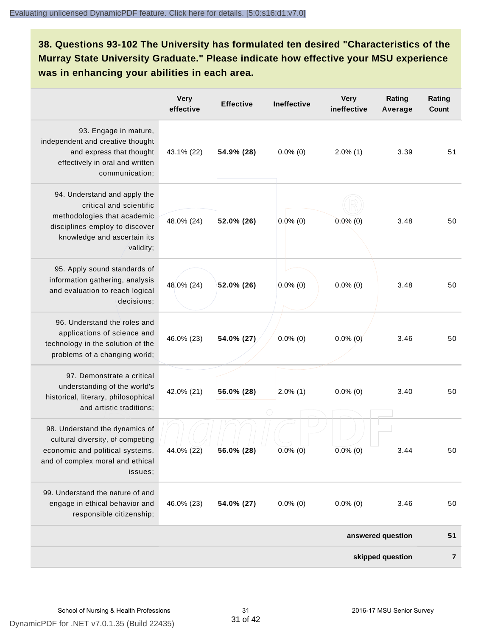**38. Questions 93-102 The University has formulated ten desired "Characteristics of the Murray State University Graduate." Please indicate how effective your MSU experience was in enhancing your abilities in each area.**

|                                                                                                                                                                      | <b>Very</b><br>effective | <b>Effective</b> | <b>Ineffective</b> | <b>Very</b><br>ineffective | Rating<br>Average | Rating<br>Count |
|----------------------------------------------------------------------------------------------------------------------------------------------------------------------|--------------------------|------------------|--------------------|----------------------------|-------------------|-----------------|
| 93. Engage in mature,<br>independent and creative thought<br>and express that thought<br>effectively in oral and written<br>communication;                           | 43.1% (22)               | 54.9% (28)       | $0.0\%$ (0)        | $2.0\%$ (1)                | 3.39              | 51              |
| 94. Understand and apply the<br>critical and scientific<br>methodologies that academic<br>disciplines employ to discover<br>knowledge and ascertain its<br>validity; | 48.0% (24)               | 52.0% (26)       | $0.0\%$ (0)        | $0.0\%$ (0)                | 3.48              | 50              |
| 95. Apply sound standards of<br>information gathering, analysis<br>and evaluation to reach logical<br>decisions;                                                     | 48.0% (24)               | 52.0% (26)       | $0.0\%$ (0)        | $0.0\%$ (0)                | 3.48              | 50              |
| 96. Understand the roles and<br>applications of science and<br>technology in the solution of the<br>problems of a changing world;                                    | 46.0% (23)               | 54.0% (27)       | $0.0\%$ (0)        | $0.0\%$ (0)                | 3.46              | 50              |
| 97. Demonstrate a critical<br>understanding of the world's<br>historical, literary, philosophical<br>and artistic traditions;                                        | 42.0% (21)               | 56.0% (28)       | $2.0\%$ (1)        | $0.0\%$ (0)                | 3.40              | 50              |
| 98. Understand the dynamics of<br>cultural diversity, of competing<br>economic and political systems,<br>and of complex moral and ethical<br>issues;                 | 44.0% (22)               | 56.0% (28)       | $0.0\%$ (0)        | $0.0\%$ (0)                | 3.44              | 50              |
| 99. Understand the nature of and<br>engage in ethical behavior and<br>responsible citizenship;                                                                       | 46.0% (23)               | 54.0% (27)       | $0.0\%$ (0)        | $0.0\%$ (0)                | 3.46              | 50              |
|                                                                                                                                                                      |                          |                  |                    |                            | answered question | 51              |
|                                                                                                                                                                      |                          |                  |                    |                            | skipped question  | $\overline{7}$  |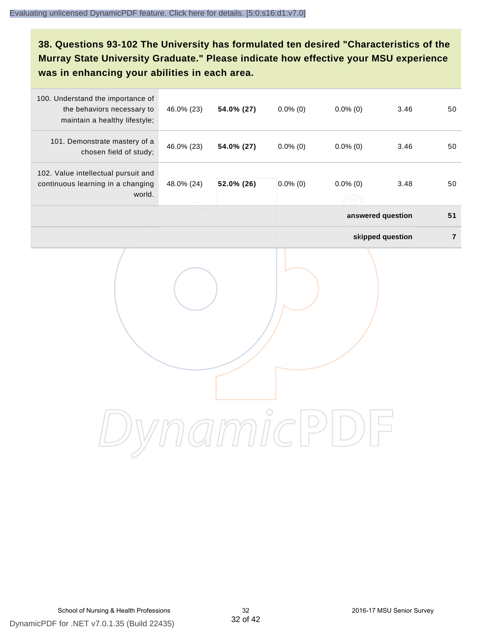# **38. Questions 93-102 The University has formulated ten desired "Characteristics of the Murray State University Graduate." Please indicate how effective your MSU experience was in enhancing your abilities in each area.**

| 100. Understand the importance of<br>the behaviors necessary to<br>maintain a healthy lifestyle; | 46.0% (23) | 54.0% (27) | $0.0\%$ (0) | $0.0\%$ (0)       | 3.46             | 50      |
|--------------------------------------------------------------------------------------------------|------------|------------|-------------|-------------------|------------------|---------|
| 101. Demonstrate mastery of a<br>chosen field of study;                                          | 46.0% (23) | 54.0% (27) | $0.0\%$ (0) | $0.0\%$ (0)       | 3.46             | 50      |
| 102. Value intellectual pursuit and<br>continuous learning in a changing<br>world.               | 48.0% (24) | 52.0% (26) | $0.0\%$ (0) | $0.0\%$ (0)       | 3.48             | 50      |
|                                                                                                  |            |            |             | answered question |                  | 51      |
|                                                                                                  |            |            |             |                   | skipped question | $\bf 7$ |
|                                                                                                  |            |            |             |                   |                  |         |
|                                                                                                  |            |            |             |                   |                  |         |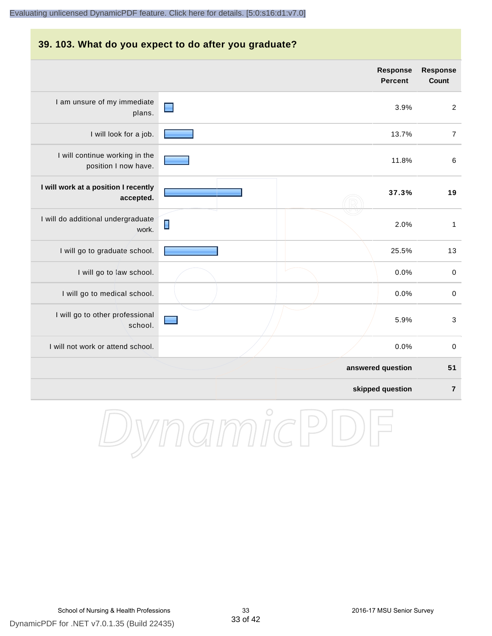#### **39. 103. What do you expect to do after you graduate?**

|                                                        |                | <b>Response</b><br><b>Percent</b> | <b>Response</b><br><b>Count</b> |
|--------------------------------------------------------|----------------|-----------------------------------|---------------------------------|
| I am unsure of my immediate<br>plans.                  |                | 3.9%                              | $\overline{2}$                  |
| I will look for a job.                                 |                | 13.7%                             | $\overline{7}$                  |
| I will continue working in the<br>position I now have. |                | 11.8%                             | $\,6\,$                         |
| I will work at a position I recently<br>accepted.      |                | 37.3%                             | 19                              |
| I will do additional undergraduate<br>work.            | $\blacksquare$ | 2.0%                              | $\mathbf{1}$                    |
| I will go to graduate school.                          |                | 25.5%                             | 13                              |
| I will go to law school.                               |                | 0.0%                              | $\mathbf 0$                     |
| I will go to medical school.                           |                | 0.0%                              | $\mathsf 0$                     |
| I will go to other professional<br>school.             |                | 5.9%                              | $\mathbf{3}$                    |
| I will not work or attend school.                      |                | 0.0%                              | $\pmb{0}$                       |
|                                                        |                | answered question                 | 51                              |
|                                                        |                | skipped question                  | $\overline{7}$                  |

DynamicPDF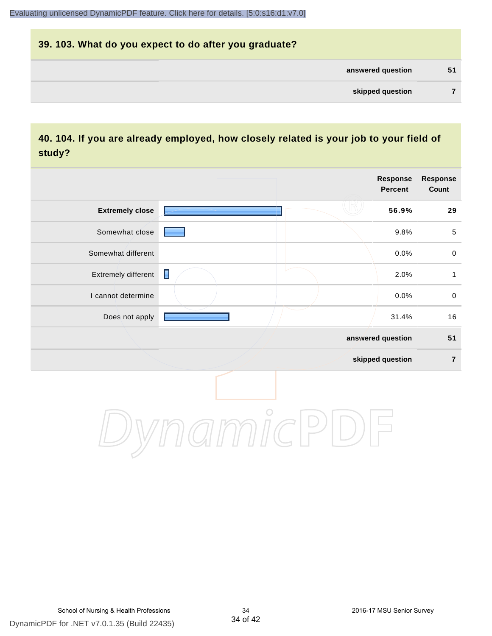# **39. 103. What do you expect to do after you graduate? answered question 51 skipped question 7**

# **40. 104. If you are already employed, how closely related is your job to your field of study?**

|                        |   |         | <b>Response</b><br><b>Percent</b> | <b>Response</b><br>Count |
|------------------------|---|---------|-----------------------------------|--------------------------|
| <b>Extremely close</b> |   |         | 56.9%                             | 29                       |
| Somewhat close         |   |         | 9.8%                              | $\sqrt{5}$               |
| Somewhat different     |   |         | 0.0%                              | $\pmb{0}$                |
| Extremely different    | Π |         | 2.0%                              | $\mathbf{1}$             |
| I cannot determine     |   |         | 0.0%                              | $\pmb{0}$                |
| Does not apply         |   |         | 31.4%                             | 16                       |
|                        |   |         | answered question                 | 51                       |
|                        |   |         | skipped question                  | $\overline{7}$           |
|                        |   | $\circ$ |                                   |                          |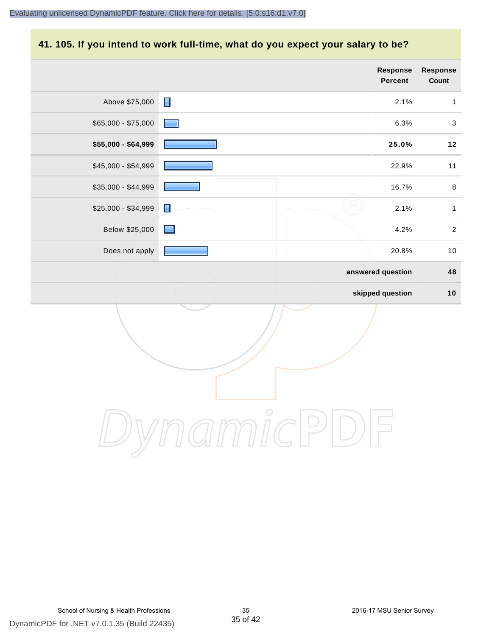#### **41. 105. If you intend to work full-time, what do you expect your salary to be?**

|                     |                | Response<br>Percent | Response<br>Count |
|---------------------|----------------|---------------------|-------------------|
| Above \$75,000      | $\blacksquare$ | 2.1%                | $\mathbf{1}$      |
| $$65,000 - $75,000$ |                | 6.3%                | $\sqrt{3}$        |
| \$55,000 - \$64,999 |                | 25.0%               | $12$              |
| \$45,000 - \$54,999 |                | 22.9%               | 11                |
| \$35,000 - \$44,999 |                | 16.7%               | $\,8\,$           |
| \$25,000 - \$34,999 | $\blacksquare$ | 2.1%                | $\mathbf{1}$      |
| Below \$25,000      | $\blacksquare$ | 4.2%                | $\sqrt{2}$        |
| Does not apply      |                | 20.8%               | $10$              |
|                     |                | answered question   | 48                |
|                     |                | skipped question    | 10                |
|                     |                |                     |                   |
|                     | $\overline{C}$ |                     |                   |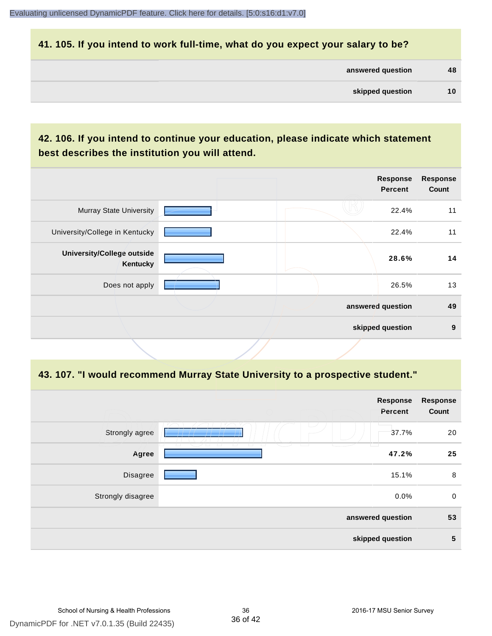#### **41. 105. If you intend to work full-time, what do you expect your salary to be?**

| answered question | 48 |
|-------------------|----|
|                   |    |

# **42. 106. If you intend to continue your education, please indicate which statement best describes the institution you will attend.**

| <b>Murray State University</b><br>22.4%<br>University/College in Kentucky<br>22.4%<br>University/College outside<br>28.6%<br>Kentucky<br>Does not apply<br>26.5%<br>answered question |  | <b>Response</b><br><b>Percent</b> | <b>Response</b><br>Count |
|---------------------------------------------------------------------------------------------------------------------------------------------------------------------------------------|--|-----------------------------------|--------------------------|
|                                                                                                                                                                                       |  |                                   | 11                       |
|                                                                                                                                                                                       |  |                                   | 11                       |
|                                                                                                                                                                                       |  |                                   | 14                       |
|                                                                                                                                                                                       |  |                                   | 13                       |
|                                                                                                                                                                                       |  |                                   | 49                       |
| skipped question                                                                                                                                                                      |  |                                   | 9                        |

#### **43. 107. "I would recommend Murray State University to a prospective student."**

| <b>Response</b><br>Count | Response<br>Percent |                                    |                   |
|--------------------------|---------------------|------------------------------------|-------------------|
| 20                       | 37.7%               |                                    | Strongly agree    |
| 25                       | 47.2%               | $\sqrt{2}$<br>T.<br>$\overline{a}$ | Agree             |
| 8                        | 15.1%               |                                    | Disagree          |
| $\mathbf 0$              | 0.0%                |                                    | Strongly disagree |
| 53                       | answered question   |                                    |                   |
| 5                        | skipped question    |                                    |                   |
|                          |                     |                                    |                   |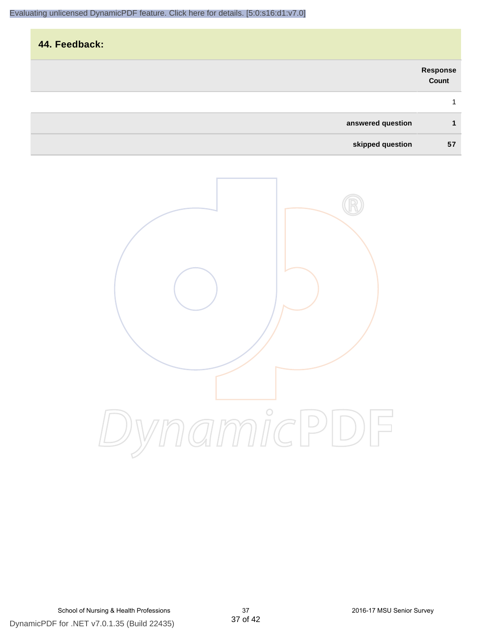# **44. Feedback: answered question 1 Response Count** 1



**skipped question 57**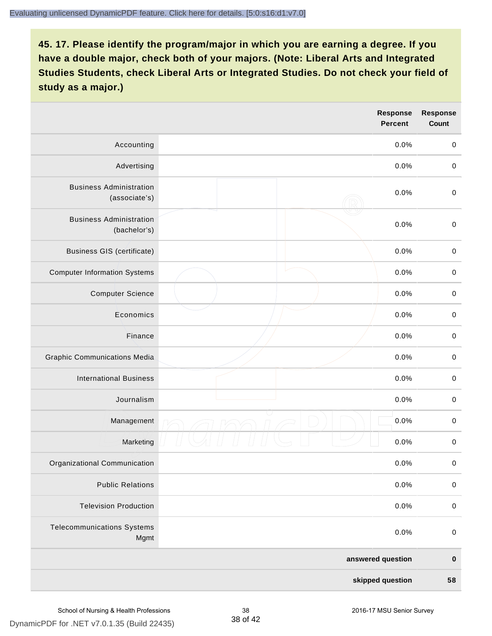|                                                 | Response<br><b>Percent</b> | <b>Response</b><br>Count |
|-------------------------------------------------|----------------------------|--------------------------|
| Accounting                                      | 0.0%                       | $\mathbf 0$              |
| Advertising                                     | 0.0%                       | $\mathbf 0$              |
| <b>Business Administration</b><br>(associate's) | 0.0%                       | $\mathbf 0$              |
| <b>Business Administration</b><br>(bachelor's)  | 0.0%                       | $\pmb{0}$                |
| <b>Business GIS (certificate)</b>               | 0.0%                       | $\,0\,$                  |
| <b>Computer Information Systems</b>             | 0.0%                       | $\pmb{0}$                |
| <b>Computer Science</b>                         | 0.0%                       | $\pmb{0}$                |
| Economics                                       | 0.0%                       | $\mathbf 0$              |
| Finance                                         | 0.0%                       | $\mathbf 0$              |
| <b>Graphic Communications Media</b>             | 0.0%                       | $\mathbf 0$              |
| <b>International Business</b>                   | 0.0%                       | $\pmb{0}$                |
| Journalism                                      | 0.0%                       | $\pmb{0}$                |
| Management                                      | 0.0%                       | $\pmb{0}$                |
| Marketing                                       | 0.0%                       | $\pmb{0}$                |
| Organizational Communication                    | 0.0%                       | $\pmb{0}$                |
| <b>Public Relations</b>                         | 0.0%                       | $\pmb{0}$                |
| <b>Television Production</b>                    | 0.0%                       | $\pmb{0}$                |
| <b>Telecommunications Systems</b><br>Mgmt       | 0.0%                       | $\pmb{0}$                |
|                                                 | answered question          | $\pmb{0}$                |
|                                                 | skipped question           | 58                       |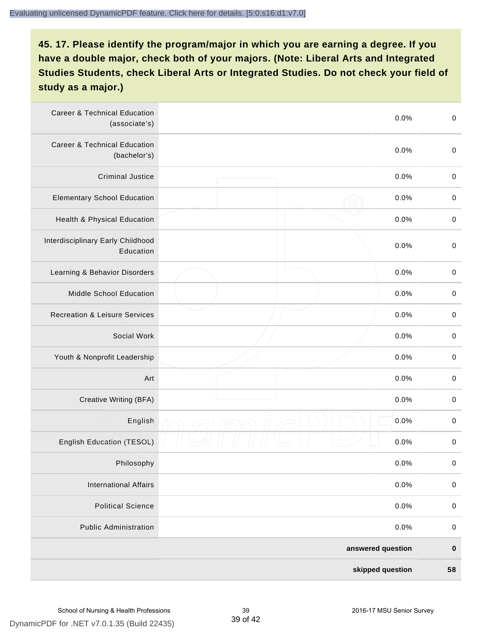| <b>Career &amp; Technical Education</b><br>(associate's) | 0.0%              | $\pmb{0}$   |
|----------------------------------------------------------|-------------------|-------------|
| <b>Career &amp; Technical Education</b><br>(bachelor's)  | 0.0%              | $\mathbf 0$ |
| <b>Criminal Justice</b>                                  | 0.0%              | $\,0\,$     |
| <b>Elementary School Education</b>                       | 0.0%              | $\,0\,$     |
| Health & Physical Education                              | 0.0%              | $\pmb{0}$   |
| Interdisciplinary Early Childhood<br>Education           | 0.0%              | $\pmb{0}$   |
| Learning & Behavior Disorders                            | 0.0%              | $\,0\,$     |
| <b>Middle School Education</b>                           | 0.0%              | $\pmb{0}$   |
| <b>Recreation &amp; Leisure Services</b>                 | 0.0%              | $\pmb{0}$   |
| Social Work                                              | 0.0%              | $\,0\,$     |
| Youth & Nonprofit Leadership                             | 0.0%              | $\,0\,$     |
| Art                                                      | 0.0%              | $\,0\,$     |
| Creative Writing (BFA)                                   | 0.0%              | $\mathbf 0$ |
| English                                                  | 0.0%              | $\,0\,$     |
| English Education (TESOL)                                | 0.0%              | 0           |
| Philosophy                                               | 0.0%              | 0           |
| <b>International Affairs</b>                             | 0.0%              | $\pmb{0}$   |
| <b>Political Science</b>                                 | 0.0%              | $\pmb{0}$   |
| <b>Public Administration</b>                             | 0.0%              | $\pmb{0}$   |
|                                                          | answered question | $\pmb{0}$   |
|                                                          | skipped question  | 58          |

39 of 42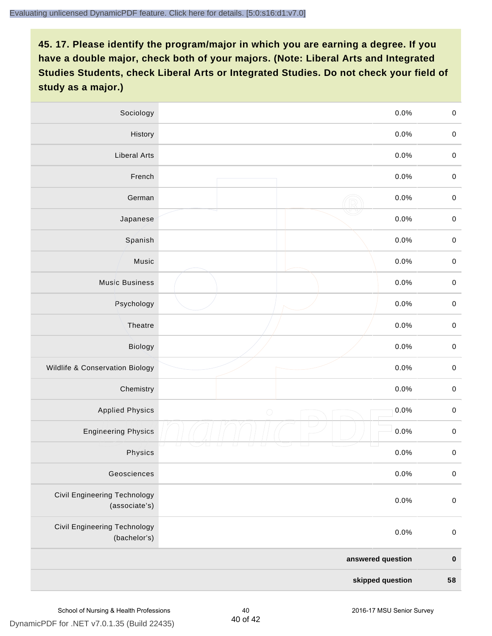| Sociology                                     | 0.0%               | $\mathbf 0$ |
|-----------------------------------------------|--------------------|-------------|
| History                                       | $0.0\%$            | $\mathbf 0$ |
| <b>Liberal Arts</b>                           | 0.0%               | $\mathbf 0$ |
| French                                        | 0.0%               | $\pmb{0}$   |
| German                                        | 0.0%               | $\mathbf 0$ |
| Japanese                                      | 0.0%               | $\mathsf 0$ |
| Spanish                                       | 0.0%               | $\mathbf 0$ |
| Music                                         | 0.0%               | $\mathbf 0$ |
| <b>Music Business</b>                         | 0.0%               | $\pmb{0}$   |
| Psychology                                    | 0.0%               | $\mathbf 0$ |
| Theatre                                       | 0.0%               | $\mathbf 0$ |
| Biology                                       | 0.0%               | $\mathbf 0$ |
| Wildlife & Conservation Biology               | 0.0%               | $\mathbf 0$ |
| Chemistry                                     | 0.0%               | $\pmb{0}$   |
| <b>Applied Physics</b>                        | 0.0%<br>$\bigcirc$ | $\mathbf 0$ |
| <b>Engineering Physics</b>                    | 0.0%               | $\mathbf 0$ |
| Physics                                       | 0.0%               | $\mathbf 0$ |
| Geosciences                                   | 0.0%               | $\mathbf 0$ |
| Civil Engineering Technology<br>(associate's) | 0.0%               | $\pmb{0}$   |
| Civil Engineering Technology<br>(bachelor's)  | 0.0%               | $\mathbf 0$ |
|                                               | answered question  | $\pmb{0}$   |
|                                               | skipped question   | 58          |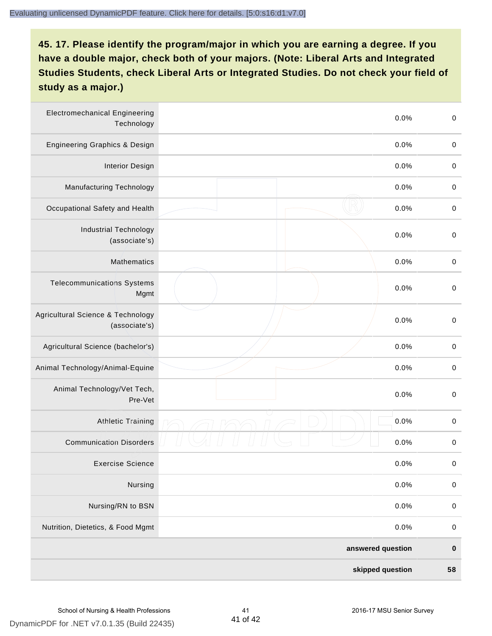| <b>Electromechanical Engineering</b><br>Technology | 0.0%              | $\mathbf 0$ |
|----------------------------------------------------|-------------------|-------------|
| <b>Engineering Graphics &amp; Design</b>           | 0.0%              | $\mathbf 0$ |
| <b>Interior Design</b>                             | 0.0%              | $\pmb{0}$   |
| Manufacturing Technology                           | 0.0%              | 0           |
| Occupational Safety and Health                     | 0.0%              | $\pmb{0}$   |
| <b>Industrial Technology</b><br>(associate's)      | 0.0%              | $\pmb{0}$   |
| <b>Mathematics</b>                                 | 0.0%              | $\,0\,$     |
| <b>Telecommunications Systems</b><br>Mgmt          | 0.0%              | $\,0\,$     |
| Agricultural Science & Technology<br>(associate's) | 0.0%              | $\mathbf 0$ |
| Agricultural Science (bachelor's)                  | 0.0%              | $\mathbf 0$ |
| Animal Technology/Animal-Equine                    | 0.0%              | $\pmb{0}$   |
| Animal Technology/Vet Tech,<br>Pre-Vet             | 0.0%              | $\pmb{0}$   |
| <b>Athletic Training</b>                           | 0.0%              | $\pmb{0}$   |
| <b>Communication Disorders</b>                     | 0.0%              | 0           |
| <b>Exercise Science</b>                            | 0.0%              | $\pmb{0}$   |
| Nursing                                            | 0.0%              | $\pmb{0}$   |
| Nursing/RN to BSN                                  | 0.0%              | $\pmb{0}$   |
| Nutrition, Dietetics, & Food Mgmt                  | 0.0%              | $\,0\,$     |
|                                                    | answered question | $\pmb{0}$   |
|                                                    | skipped question  | 58          |